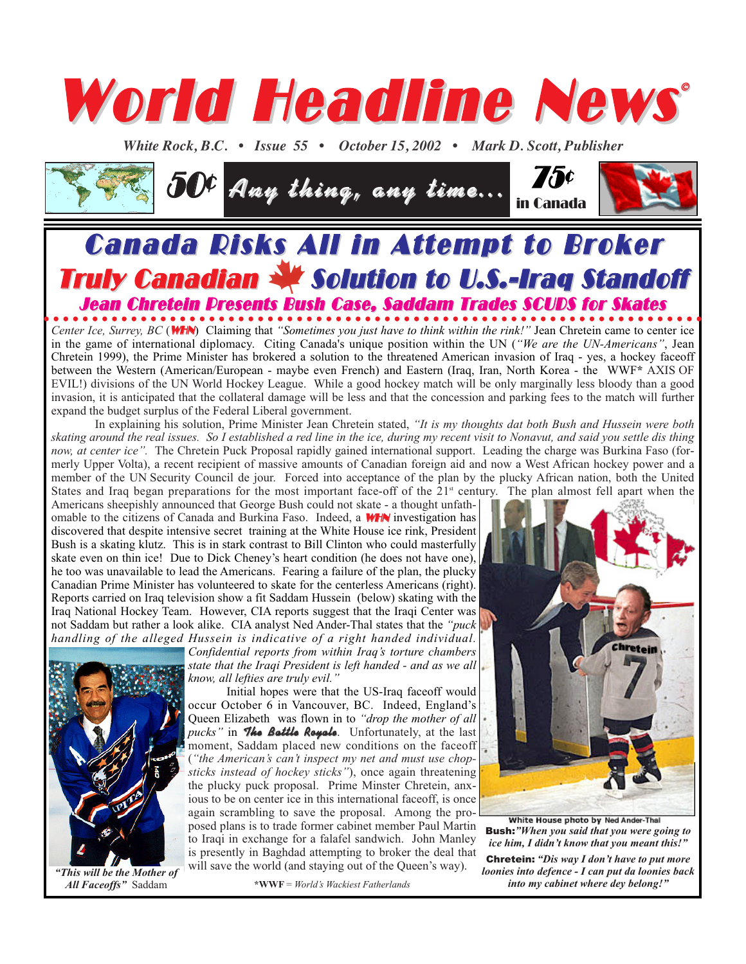

*White Rock, B.C. • Issue 55 • October 15, 2002 • Mark D. Scott, Publisher* 



## **Canada Risks All in Attempt to Broker** Truly Canadian W Solution to U.S.-Iraq Standoff Jean Chretein Presents Bush Case, Saddam Trades SCUDS for Skates

*Center Ice, Surrey, BC* (WHN) Claiming that *"Sometimes you just have to think within the rink!"* Jean Chretein came to center ice in the game of international diplomacy. Citing Canada's unique position within the UN (*"We are the UN-Americans"*, Jean Chretein 1999), the Prime Minister has brokered a solution to the threatened American invasion of Iraq - yes, a hockey faceoff between the Western (American/European - maybe even French) and Eastern (Iraq, Iran, North Korea - the WWF**\*** AXIS OF EVIL!) divisions of the UN World Hockey League. While a good hockey match will be only marginally less bloody than a good invasion, it is anticipated that the collateral damage will be less and that the concession and parking fees to the match will further expand the budget surplus of the Federal Liberal government.

In explaining his solution, Prime Minister Jean Chretein stated, *"It is my thoughts dat both Bush and Hussein were both skating around the real issues. So I established a red line in the ice, during my recent visit to Nonavut, and said you settle dis thing now, at center ice".* The Chretein Puck Proposal rapidly gained international support. Leading the charge was Burkina Faso (formerly Upper Volta), a recent recipient of massive amounts of Canadian foreign aid and now a West African hockey power and a member of the UN Security Council de jour. Forced into acceptance of the plan by the plucky African nation, both the United States and Iraq began preparations for the most important face-off of the  $21<sup>st</sup>$  century. The plan almost fell apart when the

Americans sheepishly announced that George Bush could not skate - a thought unfathomable to the citizens of Canada and Burkina Faso. Indeed, a **WHN** investigation has discovered that despite intensive secret training at the White House ice rink, President Bush is a skating klutz. This is in stark contrast to Bill Clinton who could masterfully skate even on thin ice! Due to Dick Cheney's heart condition (he does not have one), he too was unavailable to lead the Americans. Fearing a failure of the plan, the plucky Canadian Prime Minister has volunteered to skate for the centerless Americans (right). Reports carried on Iraq television show a fit Saddam Hussein (below) skating with the Iraq National Hockey Team. However, CIA reports suggest that the Iraqi Center was not Saddam but rather a look alike. CIA analyst Ned Ander-Thal states that the *"puck handling of the alleged Hussein is indicative of a right handed individual.*

> *Confidential reports from within Iraq's torture chambers state that the Iraqi President is left handed - and as we all know, all lefties are truly evil."*



*"This will be the Mother of All Faceoffs"* Saddam

Initial hopes were that the US-Iraq faceoff would occur October 6 in Vancouver, BC. Indeed, England's Queen Elizabeth was flown in to *"drop the mother of all pucks"* in **The Battle Royale**. Unfortunately, at the last moment, Saddam placed new conditions on the faceoff (*"the American's can't inspect my net and must use chopsticks instead of hockey sticks"*), once again threatening the plucky puck proposal. Prime Minster Chretein, anxious to be on center ice in this international faceoff, is once again scrambling to save the proposal. Among the proposed plans is to trade former cabinet member Paul Martin to Iraqi in exchange for a falafel sandwich. John Manley is presently in Baghdad attempting to broker the deal that will save the world (and staying out of the Queen's way).

**\*WWF** = *World's Wackiest Fatherlands*



White House photo by Ned Ander-Thal Bush:*"When you said that you were going to ice him, I didn't know that you meant this!"* Chretein: *"Dis way I don't have to put more loonies into defence - I can put da loonies back into my cabinet where dey belong!"*